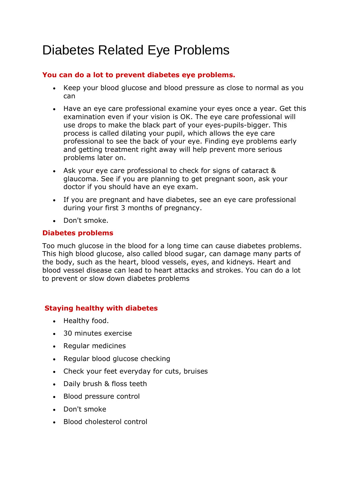# Diabetes Related Eye Problems

# **You can do a lot to prevent diabetes eye problems.**

- Keep your blood glucose and blood pressure as close to normal as you can
- Have an eye care professional examine your eyes once a year. Get this examination even if your vision is OK. The eye care professional will use drops to make the black part of your eyes-pupils-bigger. This process is called dilating your pupil, which allows the eye care professional to see the back of your eye. Finding eye problems early and getting treatment right away will help prevent more serious problems later on.
- Ask your eye care professional to check for signs of cataract & glaucoma. See if you are planning to get pregnant soon, ask your doctor if you should have an eye exam.
- If you are pregnant and have diabetes, see an eye care professional during your first 3 months of pregnancy.
- Don't smoke.

# **Diabetes problems**

Too much glucose in the blood for a long time can cause diabetes problems. This high blood glucose, also called blood sugar, can damage many parts of the body, such as the heart, blood vessels, eyes, and kidneys. Heart and blood vessel disease can lead to heart attacks and strokes. You can do a lot to prevent or slow down diabetes problems

# **Staying healthy with diabetes**

- Healthy food.
- 30 minutes exercise
- Regular medicines
- Regular blood glucose checking
- Check your feet everyday for cuts, bruises
- Daily brush & floss teeth
- Blood pressure control
- Don't smoke
- Blood cholesterol control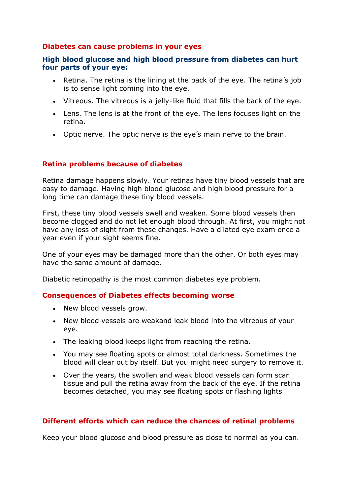## **Diabetes can cause problems in your eyes**

# **High blood glucose and high blood pressure from diabetes can hurt four parts of your eye:**

- Retina. The retina is the lining at the back of the eye. The retina's job is to sense light coming into the eye.
- Vitreous. The vitreous is a jelly-like fluid that fills the back of the eye.
- Lens. The lens is at the front of the eye. The lens focuses light on the retina.
- Optic nerve. The optic nerve is the eye's main nerve to the brain.

## **Retina problems because of diabetes**

Retina damage happens slowly. Your retinas have tiny blood vessels that are easy to damage. Having high blood glucose and high blood pressure for a long time can damage these tiny blood vessels.

First, these tiny blood vessels swell and weaken. Some blood vessels then become clogged and do not let enough blood through. At first, you might not have any loss of sight from these changes. Have a dilated eye exam once a year even if your sight seems fine.

One of your eyes may be damaged more than the other. Or both eyes may have the same amount of damage.

Diabetic retinopathy is the most common diabetes eye problem.

## **Consequences of Diabetes effects becoming worse**

- New blood vessels grow.
- New blood vessels are weakand leak blood into the vitreous of your eye.
- The leaking blood keeps light from reaching the retina.
- You may see floating spots or almost total darkness. Sometimes the blood will clear out by itself. But you might need surgery to remove it.
- Over the years, the swollen and weak blood vessels can form scar tissue and pull the retina away from the back of the eye. If the retina becomes detached, you may see floating spots or flashing lights

## **Different efforts which can reduce the chances of retinal problems**

Keep your blood glucose and blood pressure as close to normal as you can.